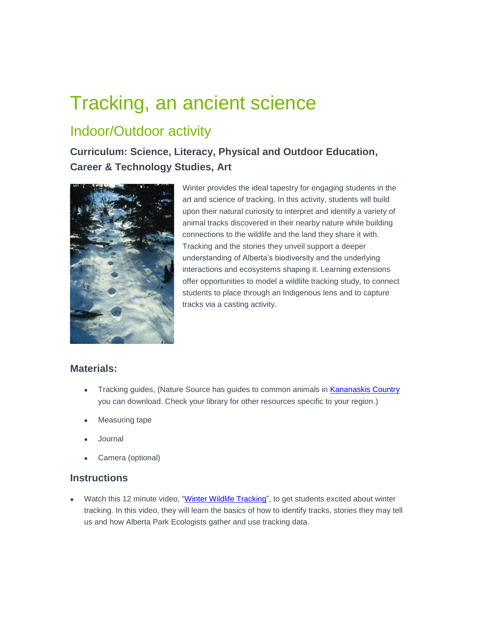# Tracking, an ancient science

## Indoor/Outdoor activity

**Curriculum: Science, Literacy, Physical and Outdoor Education, Career & Technology Studies, Art**



Winter provides the ideal tapestry for engaging students in the art and science of tracking. In this activity, students will build upon their natural curiosity to interpret and identify a variety of animal tracks discovered in their nearby nature while building connections to the wildlife and the land they share it with. Tracking and the stories they unveil support a deeper understanding of Alberta's biodiversity and the underlying interactions and ecosystems shaping it. Learning extensions offer opportunities to model a wildlife tracking study, to connect students to place through an Indigenous lens and to capture tracks via a casting activity.

### **Materials:**

- Tracking guides, (Nature Source has guides to common animals in [Kananaskis Country](https://albertaparks.ca/media/6496571/2020-animal-tracks-booklet.pdf) you can download. Check your library for other resources specific to your region.)
- Measuring tape
- Journal
- Camera (optional)

#### **Instructions**

 Watch this 12 minute video, "Winter [Wildlife Tracking"](https://www.youtube.com/watch?v=mp3RpX__kPw&feature=youtu.be), to get students excited about winter tracking. In this video, they will learn the basics of how to identify tracks, stories they may tell us and how Alberta Park Ecologists gather and use tracking data.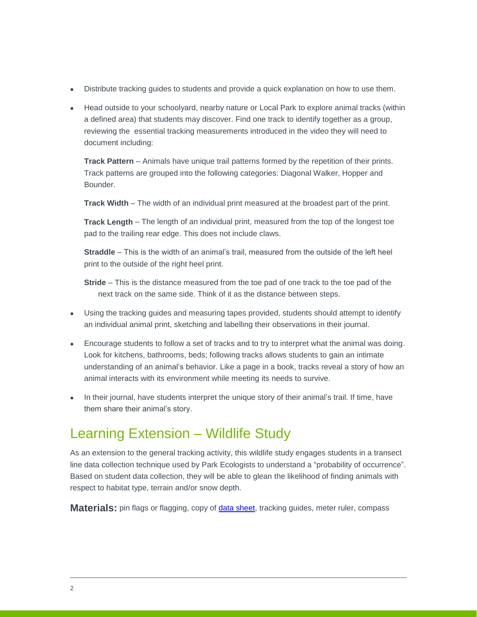- Distribute tracking guides to students and provide a quick explanation on how to use them.
- Head outside to your schoolyard, nearby nature or Local Park to explore animal tracks (within a defined area) that students may discover. Find one track to identify together as a group, reviewing the essential tracking measurements introduced in the video they will need to document including:

**Track Pattern** – Animals have unique trail patterns formed by the repetition of their prints. Track patterns are grouped into the following categories: Diagonal Walker, Hopper and Bounder.

**Track Width** – The width of an individual print measured at the broadest part of the print.

**Track Length** – The length of an individual print, measured from the top of the longest toe pad to the trailing rear edge. This does not include claws.

**Straddle** – This is the width of an animal's trail, measured from the outside of the left heel print to the outside of the right heel print.

**Stride** – This is the distance measured from the toe pad of one track to the toe pad of the next track on the same side. Think of it as the distance between steps.

- Using the tracking guides and measuring tapes provided, students should attempt to identify an individual animal print, sketching and labelling their observations in their journal.
- Encourage students to follow a set of tracks and to try to interpret what the animal was doing. Look for kitchens, bathrooms, beds; following tracks allows students to gain an intimate understanding of an animal's behavior. Like a page in a book, tracks reveal a story of how an animal interacts with its environment while meeting its needs to survive.
- In their journal, have students interpret the unique story of their animal's trail. If time, have them share their animal's story.

# Learning Extension – Wildlife Study

As an extension to the general tracking activity, this wildlife study engages students in a transect line data collection technique used by Park Ecologists to understand a "probability of occurrence". Based on student data collection, they will be able to glean the likelihood of finding animals with respect to habitat type, terrain and/or snow depth.

**Materials:** pin flags or flagging, copy of [data sheet,](https://albertaparks.ca/media/6496629/winter-wildlife-study-data-sheet.pdf) tracking guides, meter ruler, compass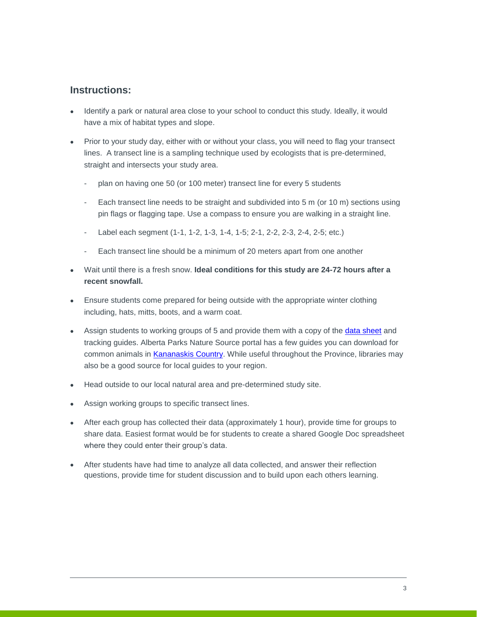#### **Instructions:**

- Identify a park or natural area close to your school to conduct this study. Ideally, it would have a mix of habitat types and slope.
- Prior to your study day, either with or without your class, you will need to flag your transect lines. A transect line is a sampling technique used by ecologists that is pre-determined, straight and intersects your study area.
	- plan on having one 50 (or 100 meter) transect line for every 5 students
	- Each transect line needs to be straight and subdivided into 5 m (or 10 m) sections using pin flags or flagging tape. Use a compass to ensure you are walking in a straight line.
	- Label each segment (1-1, 1-2, 1-3, 1-4, 1-5; 2-1, 2-2, 2-3, 2-4, 2-5; etc.)
	- Each transect line should be a minimum of 20 meters apart from one another
- Wait until there is a fresh snow. **Ideal conditions for this study are 24-72 hours after a recent snowfall.**
- Ensure students come prepared for being outside with the appropriate winter clothing including, hats, mitts, boots, and a warm coat.
- Assign students to working groups of 5 and provide them with a copy of the [data sheet](https://albertaparks.ca/media/6496629/winter-wildlife-study-data-sheet.pdf) and tracking guides. Alberta Parks Nature Source portal has a few guides you can download for common animals in [Kananaskis Country.](https://albertaparks.ca/media/6496571/2020-animal-tracks-booklet.pdf) While useful throughout the Province, libraries may also be a good source for local guides to your region.
- Head outside to our local natural area and pre-determined study site.
- Assign working groups to specific transect lines.
- After each group has collected their data (approximately 1 hour), provide time for groups to share data. Easiest format would be for students to create a shared Google Doc spreadsheet where they could enter their group's data.
- After students have had time to analyze all data collected, and answer their reflection questions, provide time for student discussion and to build upon each others learning.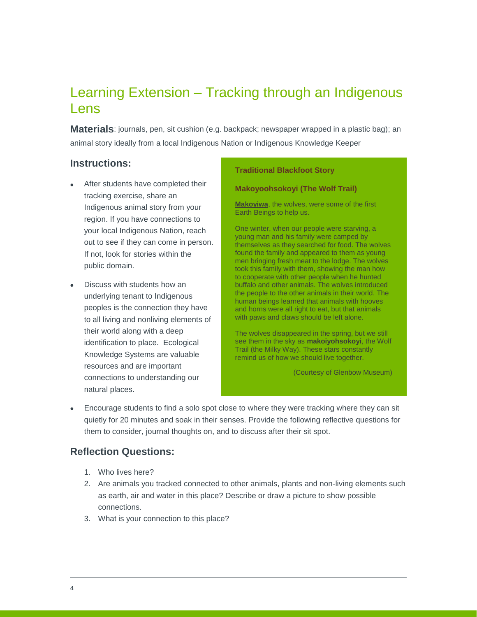### Learning Extension – Tracking through an Indigenous Lens

**Materials**: journals, pen, sit cushion (e.g. backpack; newspaper wrapped in a plastic bag); an animal story ideally from a local Indigenous Nation or Indigenous Knowledge Keeper

#### **Instructions:**

- After students have completed their tracking exercise, share an Indigenous animal story from your region. If you have connections to your local Indigenous Nation, reach out to see if they can come in person. If not, look for stories within the public domain.
- Discuss with students how an underlying tenant to Indigenous peoples is the connection they have to all living and nonliving elements of their world along with a deep identification to place. Ecological Knowledge Systems are valuable resources and are important connections to understanding our natural places.

#### **Traditional Blackfoot Story**

#### **Makoyoohsokoyi (The Wolf Trail)**

**[Makoyiwa](https://www.glenbow.org/blackfoot/media/audio/keywords/wolf.mp3)**, the wolves, were some of the first Earth Beings to help us.

One winter, when our people were starving, a young man and his family were camped by themselves as they searched for food. The wolves found the family and appeared to them as young men bringing fresh meat to the lodge. The wolves took this family with them, showing the man how to cooperate with other people when he hunted buffalo and other animals. The wolves introduced the people to the other animals in their world. The human beings learned that animals with hooves and horns were all right to eat, but that animals with paws and claws should be left alone.

The wolves disappeared in the spring, but we still see them in the sky as **[makoiyohsokoyi](https://www.glenbow.org/blackfoot/media/audio/keywords/wolf.mp3)**, the Wolf Trail (the Milky Way). These stars constantly remind us of how we should live together.

(Courtesy of Glenbow Museum)

 Encourage students to find a solo spot close to where they were tracking where they can sit quietly for 20 minutes and soak in their senses. Provide the following reflective questions for them to consider, journal thoughts on, and to discuss after their sit spot.

### **Reflection Questions:**

- 1. Who lives here?
- 2. Are animals you tracked connected to other animals, plants and non-living elements such as earth, air and water in this place? Describe or draw a picture to show possible connections.
- 3. What is your connection to this place?